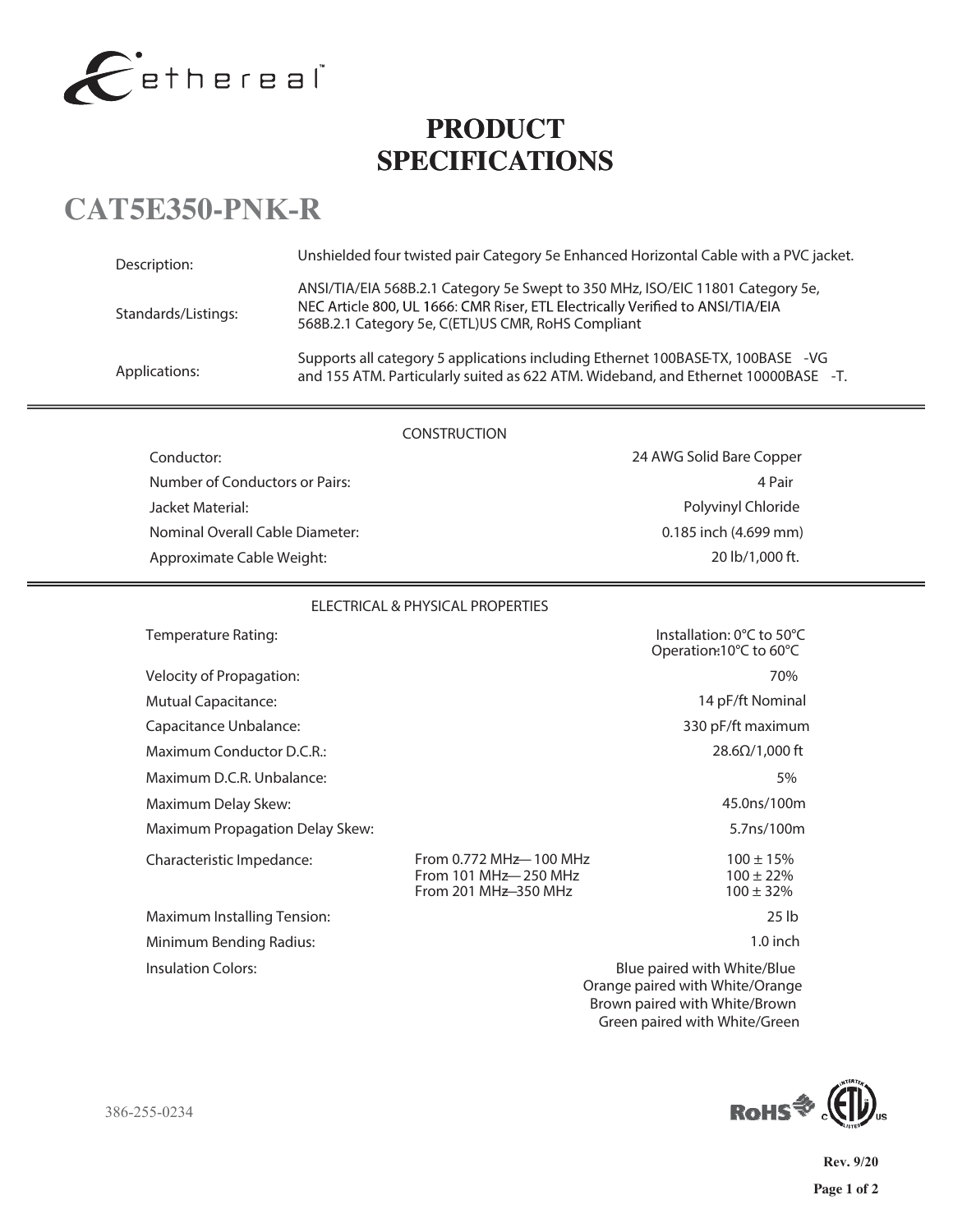

### **PRODUCT SPECIFICATIONS**

# **CAT5E350-PNK-R**

| Description:        | Unshielded four twisted pair Category 5e Enhanced Horizontal Cable with a PVC jacket.                                                                                                                                  |  |  |  |  |  |
|---------------------|------------------------------------------------------------------------------------------------------------------------------------------------------------------------------------------------------------------------|--|--|--|--|--|
| Standards/Listings: | ANSI/TIA/EIA 568B.2.1 Category 5e Swept to 350 MHz, ISO/EIC 11801 Category 5e,<br>NEC Article 800, UL 1666: CMR Riser, ETL Electrically Verified to ANSI/TIA/EIA<br>568B.2.1 Category 5e, C(ETL)US CMR, RoHS Compliant |  |  |  |  |  |
| Applications:       | Supports all category 5 applications including Ethernet 100BASE-TX, 100BASE -VG<br>and 155 ATM. Particularly suited as 622 ATM. Wideband, and Ethernet 10000BASE -T.                                                   |  |  |  |  |  |

#### **CONSTRUCTION**

Conductor: 24 AWG Solid Bare Copper Number of Conductors or Pairs: 4 Pair Jacket Material: Polyvinyl Chloride Nominal Overall Cable Diameter: 0.185 inch (4.699 mm) Approximate Cable Weight: 20 lb/1,000 ft.

ELECTRICAL & PHYSICAL PROPERTIES

Temperature Rating: Installation: 0°C to 50°C Velocity of Propagation: 70% Mutual Capacitance: 14 pF/ft Nominal Capacitance Unbalance: 330 pF/ft maximum Maximum Conductor D.C.R.: 28.6Ω/1,000 ft Maximum D.C.R. Unbalance: 5% Maximum Delay Skew: 45.0ns/100m Maximum Propagation Delay Skew: 5.7ns/100m Characteristic Impedance: From 0.772 MHz  $-$  100 MHz 100  $\pm$  15%<br>From 101 MHz  $-$  250 MHz 100  $\pm$  22% From 201 MHz-350 MHz Maximum Installing Tension: 25 lb Minimum Bending Radius: 1.0 inch

Operation: 10°C to 60°C From 101 MHz - 250 MHz<br>From 201 MHz - 350 MHz 100 ± 32%

Insulation Colors: Blue paired with White/Blue Orange paired with White/Orange Brown paired with White/Brown Green paired with White/Green



**Rev. 9/20**